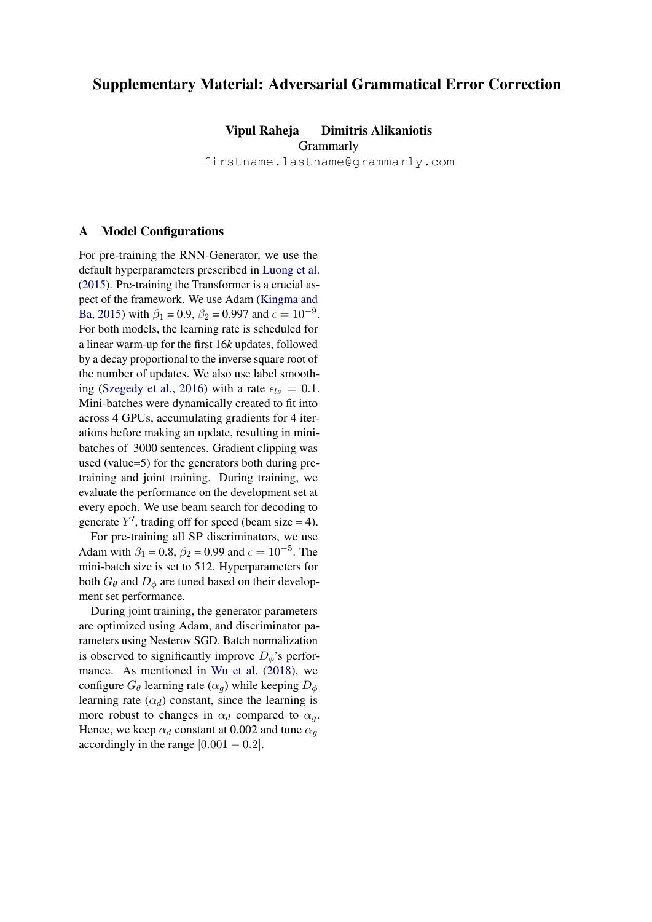## Supplementary Material: Adversarial Grammatical Error Correction

Vipul Raheja Dimitris Alikaniotis

**Grammarly** 

firstname.lastname@grammarly.com

## A Model Configurations

For pre-training the RNN-Generator, we use the default hyperparameters prescribed in [Luong et al.](#page-2-0) [\(2015\)](#page-2-0). Pre-training the Transformer is a crucial aspect of the framework. We use Adam [\(Kingma and](#page-2-1) [Ba,](#page-2-1) [2015\)](#page-2-1) with  $\beta_1 = 0.9$ ,  $\beta_2 = 0.997$  and  $\epsilon = 10^{-9}$ . For both models, the learning rate is scheduled for a linear warm-up for the first 16*k* updates, followed by a decay proportional to the inverse square root of the number of updates. We also use label smooth-ing [\(Szegedy et al.,](#page-2-2) [2016\)](#page-2-2) with a rate  $\epsilon_{ls} = 0.1$ . Mini-batches were dynamically created to fit into across 4 GPUs, accumulating gradients for 4 iterations before making an update, resulting in minibatches of 3000 sentences. Gradient clipping was used (value=5) for the generators both during pretraining and joint training. During training, we evaluate the performance on the development set at every epoch. We use beam search for decoding to generate  $Y'$ , trading off for speed (beam size = 4).

For pre-training all SP discriminators, we use Adam with  $\beta_1 = 0.8$ ,  $\beta_2 = 0.99$  and  $\epsilon = 10^{-5}$ . The mini-batch size is set to 512. Hyperparameters for both  $G_{\theta}$  and  $D_{\phi}$  are tuned based on their development set performance.

During joint training, the generator parameters are optimized using Adam, and discriminator parameters using Nesterov SGD. Batch normalization is observed to significantly improve  $D_{\phi}$ 's performance. As mentioned in [Wu et al.](#page-2-3) [\(2018\)](#page-2-3), we configure  $G_{\theta}$  learning rate  $(\alpha_q)$  while keeping  $D_{\phi}$ learning rate  $(\alpha_d)$  constant, since the learning is more robust to changes in  $\alpha_d$  compared to  $\alpha_q$ . Hence, we keep  $\alpha_d$  constant at 0.002 and tune  $\alpha_q$ accordingly in the range  $[0.001 - 0.2]$ .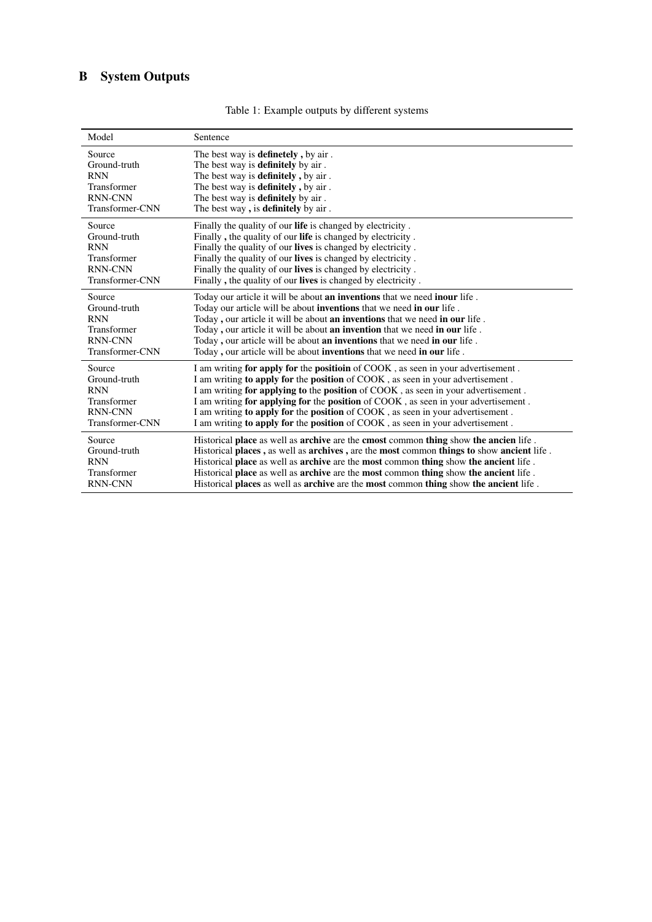## B System Outputs

| Model           | Sentence                                                                                                              |
|-----------------|-----------------------------------------------------------------------------------------------------------------------|
| Source          | The best way is <b>definetely</b> , by air.                                                                           |
| Ground-truth    | The best way is <b>definitely</b> by air.                                                                             |
| <b>RNN</b>      | The best way is <b>definitely</b> , by air.                                                                           |
| Transformer     | The best way is <b>definitely</b> , by air.                                                                           |
| <b>RNN-CNN</b>  | The best way is <b>definitely</b> by air.                                                                             |
| Transformer-CNN | The best way, is <b>definitely</b> by air.                                                                            |
| Source          | Finally the quality of our <b>life</b> is changed by electricity.                                                     |
| Ground-truth    | Finally, the quality of our <b>life</b> is changed by electricity.                                                    |
| <b>RNN</b>      | Finally the quality of our <b>lives</b> is changed by electricity.                                                    |
| Transformer     | Finally the quality of our <b>lives</b> is changed by electricity.                                                    |
| <b>RNN-CNN</b>  | Finally the quality of our <b>lives</b> is changed by electricity.                                                    |
| Transformer-CNN | Finally, the quality of our <b>lives</b> is changed by electricity.                                                   |
| Source          | Today our article it will be about an inventions that we need inour life.                                             |
| Ground-truth    | Today our article will be about <b>inventions</b> that we need <b>in our</b> life.                                    |
| <b>RNN</b>      | Today, our article it will be about <b>an inventions</b> that we need <b>in our</b> life.                             |
| Transformer     | Today, our article it will be about <b>an invention</b> that we need <b>in our</b> life.                              |
| <b>RNN-CNN</b>  | Today, our article will be about an inventions that we need in our life.                                              |
| Transformer-CNN | Today, our article will be about inventions that we need in our life.                                                 |
| Source          | I am writing for apply for the position of COOK, as seen in your advertisement.                                       |
| Ground-truth    | I am writing to apply for the position of COOK, as seen in your advertisement.                                        |
| <b>RNN</b>      | I am writing for applying to the position of COOK, as seen in your advertisement.                                     |
| Transformer     | I am writing for applying for the position of COOK, as seen in your advertisement.                                    |
| <b>RNN-CNN</b>  | I am writing to apply for the position of COOK, as seen in your advertisement.                                        |
| Transformer-CNN | I am writing to apply for the position of COOK, as seen in your advertisement.                                        |
| Source          | Historical place as well as <b>archive</b> are the <b>cmost</b> common <b>thing</b> show <b>the ancien</b> life.      |
| Ground-truth    | Historical places, as well as <b>archives</b> , are the <b>most</b> common <b>things to</b> show <b>ancient</b> life. |
| <b>RNN</b>      | Historical place as well as <b>archive</b> are the <b>most</b> common <b>thing</b> show <b>the ancient</b> life.      |
| Transformer     | Historical place as well as <b>archive</b> are the <b>most</b> common <b>thing</b> show <b>the ancient</b> life.      |
| <b>RNN-CNN</b>  | Historical places as well as <b>archive</b> are the <b>most</b> common <b>thing</b> show <b>the ancient</b> life.     |

Table 1: Example outputs by different systems